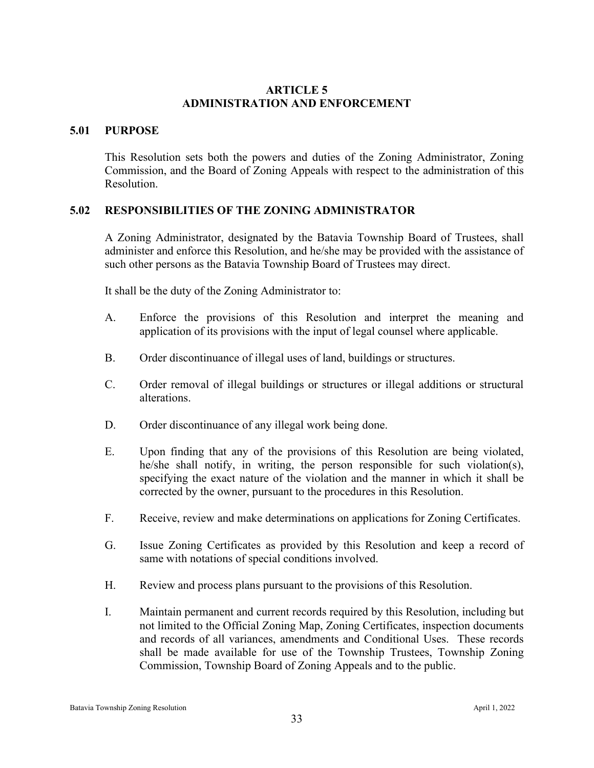### **ARTICLE 5 ADMINISTRATION AND ENFORCEMENT**

#### **5.01 PURPOSE**

This Resolution sets both the powers and duties of the Zoning Administrator, Zoning Commission, and the Board of Zoning Appeals with respect to the administration of this Resolution.

## **5.02 RESPONSIBILITIES OF THE ZONING ADMINISTRATOR**

A Zoning Administrator, designated by the Batavia Township Board of Trustees, shall administer and enforce this Resolution, and he/she may be provided with the assistance of such other persons as the Batavia Township Board of Trustees may direct.

It shall be the duty of the Zoning Administrator to:

- A. Enforce the provisions of this Resolution and interpret the meaning and application of its provisions with the input of legal counsel where applicable.
- B. Order discontinuance of illegal uses of land, buildings or structures.
- C. Order removal of illegal buildings or structures or illegal additions or structural alterations.
- D. Order discontinuance of any illegal work being done.
- E. Upon finding that any of the provisions of this Resolution are being violated, he/she shall notify, in writing, the person responsible for such violation(s), specifying the exact nature of the violation and the manner in which it shall be corrected by the owner, pursuant to the procedures in this Resolution.
- F. Receive, review and make determinations on applications for Zoning Certificates.
- G. Issue Zoning Certificates as provided by this Resolution and keep a record of same with notations of special conditions involved.
- H. Review and process plans pursuant to the provisions of this Resolution.
- I. Maintain permanent and current records required by this Resolution, including but not limited to the Official Zoning Map, Zoning Certificates, inspection documents and records of all variances, amendments and Conditional Uses. These records shall be made available for use of the Township Trustees, Township Zoning Commission, Township Board of Zoning Appeals and to the public.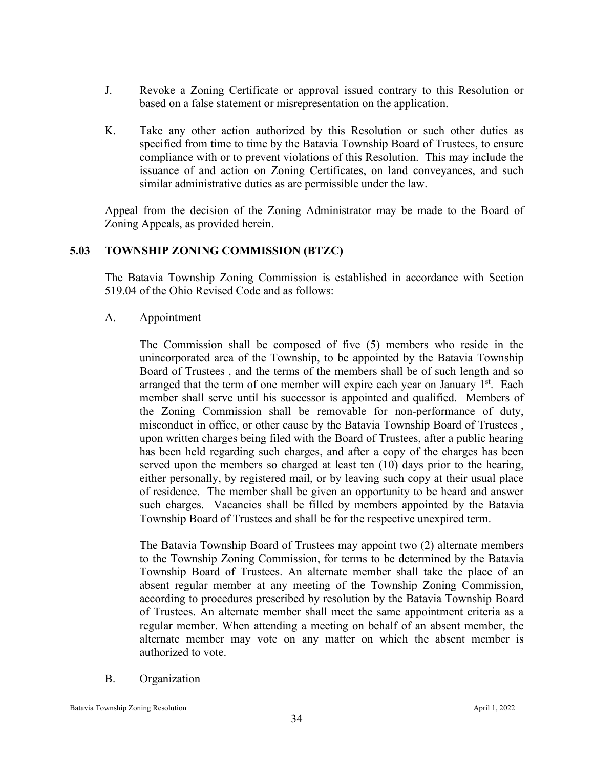- J. Revoke a Zoning Certificate or approval issued contrary to this Resolution or based on a false statement or misrepresentation on the application.
- K. Take any other action authorized by this Resolution or such other duties as specified from time to time by the Batavia Township Board of Trustees, to ensure compliance with or to prevent violations of this Resolution. This may include the issuance of and action on Zoning Certificates, on land conveyances, and such similar administrative duties as are permissible under the law.

Appeal from the decision of the Zoning Administrator may be made to the Board of Zoning Appeals, as provided herein.

## **5.03 TOWNSHIP ZONING COMMISSION (BTZC)**

The Batavia Township Zoning Commission is established in accordance with Section 519.04 of the Ohio Revised Code and as follows:

## A. Appointment

The Commission shall be composed of five (5) members who reside in the unincorporated area of the Township, to be appointed by the Batavia Township Board of Trustees , and the terms of the members shall be of such length and so arranged that the term of one member will expire each year on January  $1<sup>st</sup>$ . Each member shall serve until his successor is appointed and qualified. Members of the Zoning Commission shall be removable for non-performance of duty, misconduct in office, or other cause by the Batavia Township Board of Trustees , upon written charges being filed with the Board of Trustees, after a public hearing has been held regarding such charges, and after a copy of the charges has been served upon the members so charged at least ten (10) days prior to the hearing, either personally, by registered mail, or by leaving such copy at their usual place of residence. The member shall be given an opportunity to be heard and answer such charges. Vacancies shall be filled by members appointed by the Batavia Township Board of Trustees and shall be for the respective unexpired term.

The Batavia Township Board of Trustees may appoint two (2) alternate members to the Township Zoning Commission, for terms to be determined by the Batavia Township Board of Trustees. An alternate member shall take the place of an absent regular member at any meeting of the Township Zoning Commission, according to procedures prescribed by resolution by the Batavia Township Board of Trustees. An alternate member shall meet the same appointment criteria as a regular member. When attending a meeting on behalf of an absent member, the alternate member may vote on any matter on which the absent member is authorized to vote.

B. Organization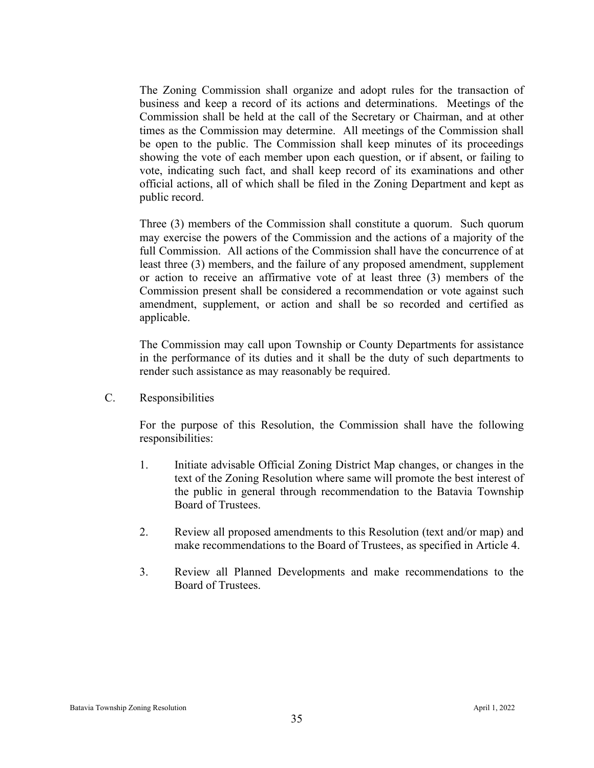The Zoning Commission shall organize and adopt rules for the transaction of business and keep a record of its actions and determinations. Meetings of the Commission shall be held at the call of the Secretary or Chairman, and at other times as the Commission may determine. All meetings of the Commission shall be open to the public. The Commission shall keep minutes of its proceedings showing the vote of each member upon each question, or if absent, or failing to vote, indicating such fact, and shall keep record of its examinations and other official actions, all of which shall be filed in the Zoning Department and kept as public record.

Three (3) members of the Commission shall constitute a quorum. Such quorum may exercise the powers of the Commission and the actions of a majority of the full Commission. All actions of the Commission shall have the concurrence of at least three (3) members, and the failure of any proposed amendment, supplement or action to receive an affirmative vote of at least three (3) members of the Commission present shall be considered a recommendation or vote against such amendment, supplement, or action and shall be so recorded and certified as applicable.

The Commission may call upon Township or County Departments for assistance in the performance of its duties and it shall be the duty of such departments to render such assistance as may reasonably be required.

C. Responsibilities

For the purpose of this Resolution, the Commission shall have the following responsibilities:

- 1. Initiate advisable Official Zoning District Map changes, or changes in the text of the Zoning Resolution where same will promote the best interest of the public in general through recommendation to the Batavia Township Board of Trustees.
- 2. Review all proposed amendments to this Resolution (text and/or map) and make recommendations to the Board of Trustees, as specified in Article 4.
- 3. Review all Planned Developments and make recommendations to the Board of Trustees.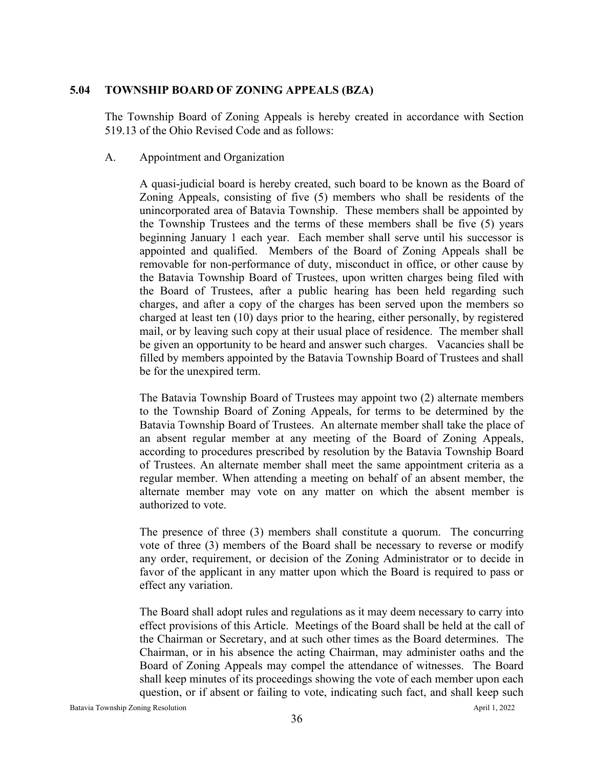## **5.04 TOWNSHIP BOARD OF ZONING APPEALS (BZA)**

The Township Board of Zoning Appeals is hereby created in accordance with Section 519.13 of the Ohio Revised Code and as follows:

#### A. Appointment and Organization

A quasi-judicial board is hereby created, such board to be known as the Board of Zoning Appeals, consisting of five (5) members who shall be residents of the unincorporated area of Batavia Township. These members shall be appointed by the Township Trustees and the terms of these members shall be five (5) years beginning January 1 each year. Each member shall serve until his successor is appointed and qualified. Members of the Board of Zoning Appeals shall be removable for non-performance of duty, misconduct in office, or other cause by the Batavia Township Board of Trustees, upon written charges being filed with the Board of Trustees, after a public hearing has been held regarding such charges, and after a copy of the charges has been served upon the members so charged at least ten (10) days prior to the hearing, either personally, by registered mail, or by leaving such copy at their usual place of residence. The member shall be given an opportunity to be heard and answer such charges. Vacancies shall be filled by members appointed by the Batavia Township Board of Trustees and shall be for the unexpired term.

The Batavia Township Board of Trustees may appoint two (2) alternate members to the Township Board of Zoning Appeals, for terms to be determined by the Batavia Township Board of Trustees. An alternate member shall take the place of an absent regular member at any meeting of the Board of Zoning Appeals, according to procedures prescribed by resolution by the Batavia Township Board of Trustees. An alternate member shall meet the same appointment criteria as a regular member. When attending a meeting on behalf of an absent member, the alternate member may vote on any matter on which the absent member is authorized to vote.

The presence of three (3) members shall constitute a quorum. The concurring vote of three (3) members of the Board shall be necessary to reverse or modify any order, requirement, or decision of the Zoning Administrator or to decide in favor of the applicant in any matter upon which the Board is required to pass or effect any variation.

The Board shall adopt rules and regulations as it may deem necessary to carry into effect provisions of this Article. Meetings of the Board shall be held at the call of the Chairman or Secretary, and at such other times as the Board determines. The Chairman, or in his absence the acting Chairman, may administer oaths and the Board of Zoning Appeals may compel the attendance of witnesses. The Board shall keep minutes of its proceedings showing the vote of each member upon each question, or if absent or failing to vote, indicating such fact, and shall keep such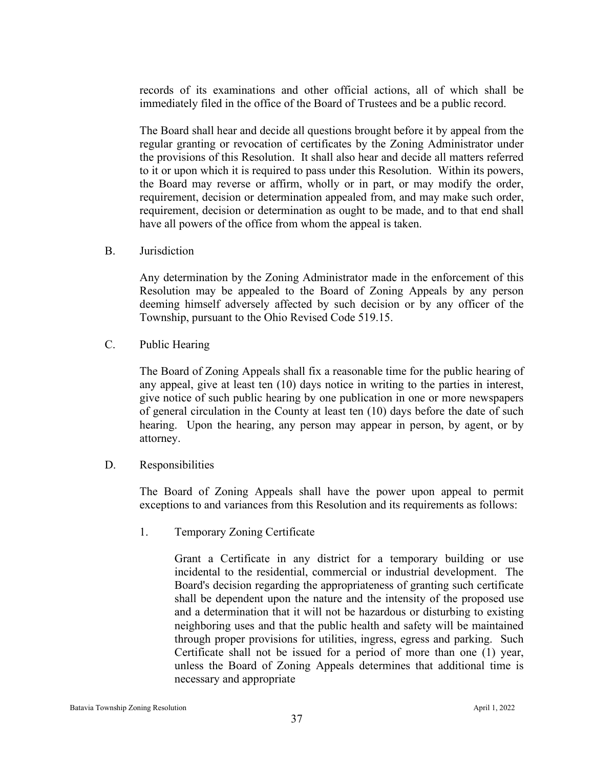records of its examinations and other official actions, all of which shall be immediately filed in the office of the Board of Trustees and be a public record.

The Board shall hear and decide all questions brought before it by appeal from the regular granting or revocation of certificates by the Zoning Administrator under the provisions of this Resolution. It shall also hear and decide all matters referred to it or upon which it is required to pass under this Resolution. Within its powers, the Board may reverse or affirm, wholly or in part, or may modify the order, requirement, decision or determination appealed from, and may make such order, requirement, decision or determination as ought to be made, and to that end shall have all powers of the office from whom the appeal is taken.

B. Jurisdiction

Any determination by the Zoning Administrator made in the enforcement of this Resolution may be appealed to the Board of Zoning Appeals by any person deeming himself adversely affected by such decision or by any officer of the Township, pursuant to the Ohio Revised Code 519.15.

C. Public Hearing

The Board of Zoning Appeals shall fix a reasonable time for the public hearing of any appeal, give at least ten (10) days notice in writing to the parties in interest, give notice of such public hearing by one publication in one or more newspapers of general circulation in the County at least ten (10) days before the date of such hearing. Upon the hearing, any person may appear in person, by agent, or by attorney.

D. Responsibilities

The Board of Zoning Appeals shall have the power upon appeal to permit exceptions to and variances from this Resolution and its requirements as follows:

1. Temporary Zoning Certificate

Grant a Certificate in any district for a temporary building or use incidental to the residential, commercial or industrial development. The Board's decision regarding the appropriateness of granting such certificate shall be dependent upon the nature and the intensity of the proposed use and a determination that it will not be hazardous or disturbing to existing neighboring uses and that the public health and safety will be maintained through proper provisions for utilities, ingress, egress and parking. Such Certificate shall not be issued for a period of more than one (1) year, unless the Board of Zoning Appeals determines that additional time is necessary and appropriate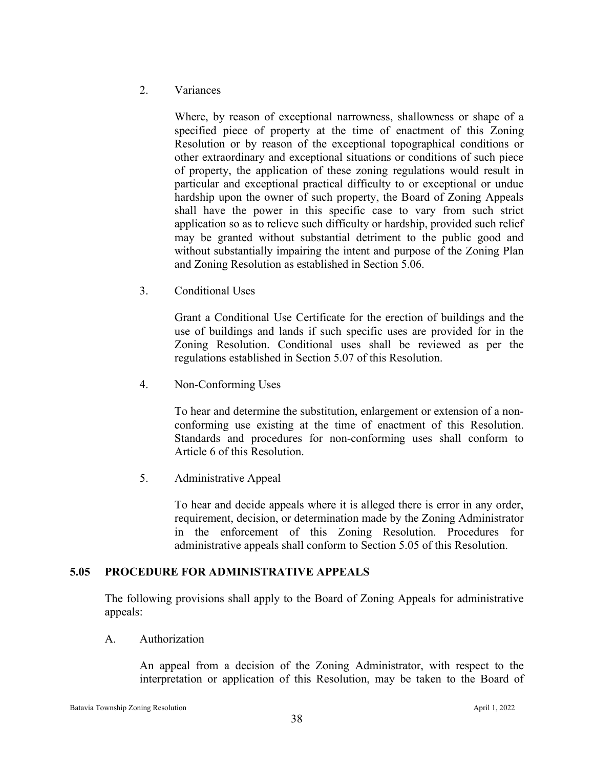## 2. Variances

Where, by reason of exceptional narrowness, shallowness or shape of a specified piece of property at the time of enactment of this Zoning Resolution or by reason of the exceptional topographical conditions or other extraordinary and exceptional situations or conditions of such piece of property, the application of these zoning regulations would result in particular and exceptional practical difficulty to or exceptional or undue hardship upon the owner of such property, the Board of Zoning Appeals shall have the power in this specific case to vary from such strict application so as to relieve such difficulty or hardship, provided such relief may be granted without substantial detriment to the public good and without substantially impairing the intent and purpose of the Zoning Plan and Zoning Resolution as established in Section 5.06.

3. Conditional Uses

Grant a Conditional Use Certificate for the erection of buildings and the use of buildings and lands if such specific uses are provided for in the Zoning Resolution. Conditional uses shall be reviewed as per the regulations established in Section 5.07 of this Resolution.

4. Non-Conforming Uses

To hear and determine the substitution, enlargement or extension of a nonconforming use existing at the time of enactment of this Resolution. Standards and procedures for non-conforming uses shall conform to Article 6 of this Resolution.

5. Administrative Appeal

To hear and decide appeals where it is alleged there is error in any order, requirement, decision, or determination made by the Zoning Administrator in the enforcement of this Zoning Resolution. Procedures for administrative appeals shall conform to Section 5.05 of this Resolution.

## **5.05 PROCEDURE FOR ADMINISTRATIVE APPEALS**

The following provisions shall apply to the Board of Zoning Appeals for administrative appeals:

A. Authorization

An appeal from a decision of the Zoning Administrator, with respect to the interpretation or application of this Resolution, may be taken to the Board of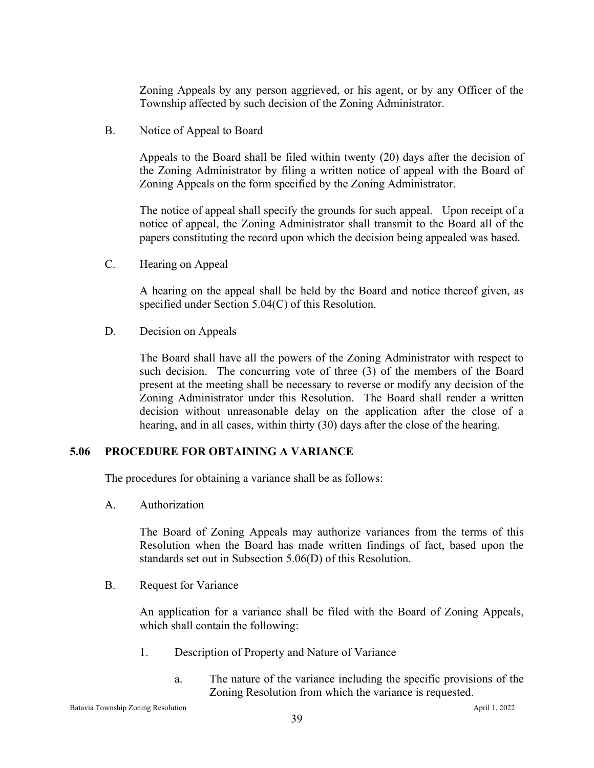Zoning Appeals by any person aggrieved, or his agent, or by any Officer of the Township affected by such decision of the Zoning Administrator.

B. Notice of Appeal to Board

Appeals to the Board shall be filed within twenty (20) days after the decision of the Zoning Administrator by filing a written notice of appeal with the Board of Zoning Appeals on the form specified by the Zoning Administrator.

The notice of appeal shall specify the grounds for such appeal. Upon receipt of a notice of appeal, the Zoning Administrator shall transmit to the Board all of the papers constituting the record upon which the decision being appealed was based.

C. Hearing on Appeal

A hearing on the appeal shall be held by the Board and notice thereof given, as specified under Section 5.04(C) of this Resolution.

D. Decision on Appeals

The Board shall have all the powers of the Zoning Administrator with respect to such decision. The concurring vote of three (3) of the members of the Board present at the meeting shall be necessary to reverse or modify any decision of the Zoning Administrator under this Resolution. The Board shall render a written decision without unreasonable delay on the application after the close of a hearing, and in all cases, within thirty (30) days after the close of the hearing.

#### **5.06 PROCEDURE FOR OBTAINING A VARIANCE**

The procedures for obtaining a variance shall be as follows:

A. Authorization

The Board of Zoning Appeals may authorize variances from the terms of this Resolution when the Board has made written findings of fact, based upon the standards set out in Subsection 5.06(D) of this Resolution.

B. Request for Variance

An application for a variance shall be filed with the Board of Zoning Appeals, which shall contain the following:

- 1. Description of Property and Nature of Variance
	- a. The nature of the variance including the specific provisions of the Zoning Resolution from which the variance is requested.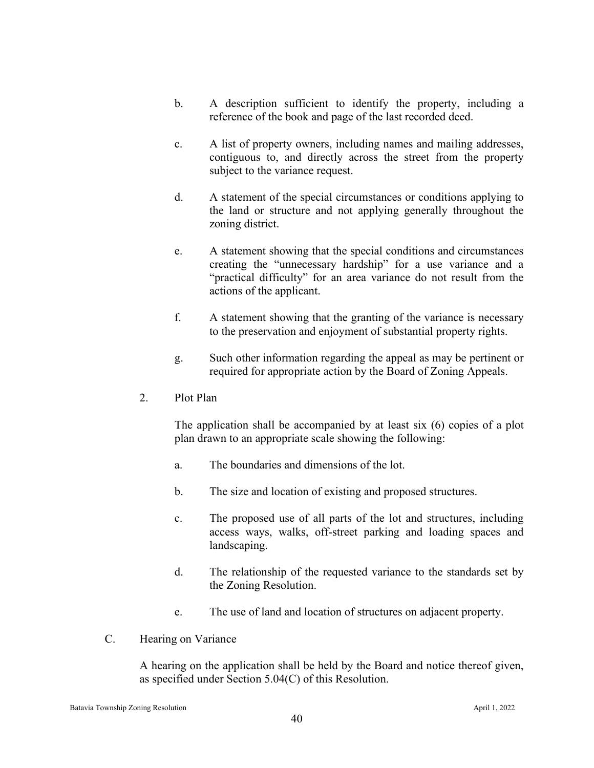- b. A description sufficient to identify the property, including a reference of the book and page of the last recorded deed.
- c. A list of property owners, including names and mailing addresses, contiguous to, and directly across the street from the property subject to the variance request.
- d. A statement of the special circumstances or conditions applying to the land or structure and not applying generally throughout the zoning district.
- e. A statement showing that the special conditions and circumstances creating the "unnecessary hardship" for a use variance and a "practical difficulty" for an area variance do not result from the actions of the applicant.
- f. A statement showing that the granting of the variance is necessary to the preservation and enjoyment of substantial property rights.
- g. Such other information regarding the appeal as may be pertinent or required for appropriate action by the Board of Zoning Appeals.
- 2. Plot Plan

The application shall be accompanied by at least six (6) copies of a plot plan drawn to an appropriate scale showing the following:

- a. The boundaries and dimensions of the lot.
- b. The size and location of existing and proposed structures.
- c. The proposed use of all parts of the lot and structures, including access ways, walks, off-street parking and loading spaces and landscaping.
- d. The relationship of the requested variance to the standards set by the Zoning Resolution.
- e. The use of land and location of structures on adjacent property.
- C. Hearing on Variance

A hearing on the application shall be held by the Board and notice thereof given, as specified under Section 5.04(C) of this Resolution.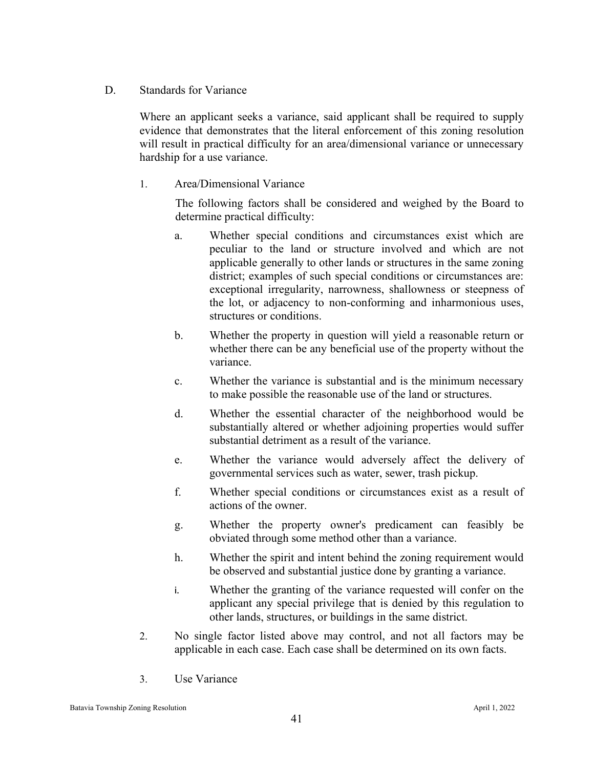#### D. Standards for Variance

Where an applicant seeks a variance, said applicant shall be required to supply evidence that demonstrates that the literal enforcement of this zoning resolution will result in practical difficulty for an area/dimensional variance or unnecessary hardship for a use variance.

## 1. Area/Dimensional Variance

The following factors shall be considered and weighed by the Board to determine practical difficulty:

- a. Whether special conditions and circumstances exist which are peculiar to the land or structure involved and which are not applicable generally to other lands or structures in the same zoning district; examples of such special conditions or circumstances are: exceptional irregularity, narrowness, shallowness or steepness of the lot, or adjacency to non-conforming and inharmonious uses, structures or conditions.
- b. Whether the property in question will yield a reasonable return or whether there can be any beneficial use of the property without the variance.
- c. Whether the variance is substantial and is the minimum necessary to make possible the reasonable use of the land or structures.
- d. Whether the essential character of the neighborhood would be substantially altered or whether adjoining properties would suffer substantial detriment as a result of the variance.
- e. Whether the variance would adversely affect the delivery of governmental services such as water, sewer, trash pickup.
- f. Whether special conditions or circumstances exist as a result of actions of the owner.
- g. Whether the property owner's predicament can feasibly be obviated through some method other than a variance.
- h. Whether the spirit and intent behind the zoning requirement would be observed and substantial justice done by granting a variance.
- i. Whether the granting of the variance requested will confer on the applicant any special privilege that is denied by this regulation to other lands, structures, or buildings in the same district.
- 2. No single factor listed above may control, and not all factors may be applicable in each case. Each case shall be determined on its own facts.
- 3. Use Variance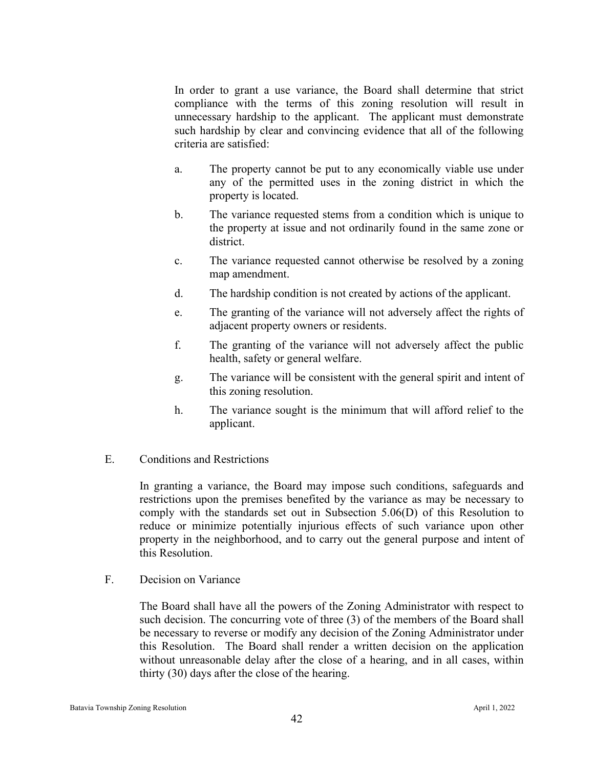In order to grant a use variance, the Board shall determine that strict compliance with the terms of this zoning resolution will result in unnecessary hardship to the applicant. The applicant must demonstrate such hardship by clear and convincing evidence that all of the following criteria are satisfied:

- a. The property cannot be put to any economically viable use under any of the permitted uses in the zoning district in which the property is located.
- b. The variance requested stems from a condition which is unique to the property at issue and not ordinarily found in the same zone or district.
- c. The variance requested cannot otherwise be resolved by a zoning map amendment.
- d. The hardship condition is not created by actions of the applicant.
- e. The granting of the variance will not adversely affect the rights of adjacent property owners or residents.
- f. The granting of the variance will not adversely affect the public health, safety or general welfare.
- g. The variance will be consistent with the general spirit and intent of this zoning resolution.
- h. The variance sought is the minimum that will afford relief to the applicant.
- E. Conditions and Restrictions

In granting a variance, the Board may impose such conditions, safeguards and restrictions upon the premises benefited by the variance as may be necessary to comply with the standards set out in Subsection 5.06(D) of this Resolution to reduce or minimize potentially injurious effects of such variance upon other property in the neighborhood, and to carry out the general purpose and intent of this Resolution.

F. Decision on Variance

The Board shall have all the powers of the Zoning Administrator with respect to such decision. The concurring vote of three (3) of the members of the Board shall be necessary to reverse or modify any decision of the Zoning Administrator under this Resolution. The Board shall render a written decision on the application without unreasonable delay after the close of a hearing, and in all cases, within thirty (30) days after the close of the hearing.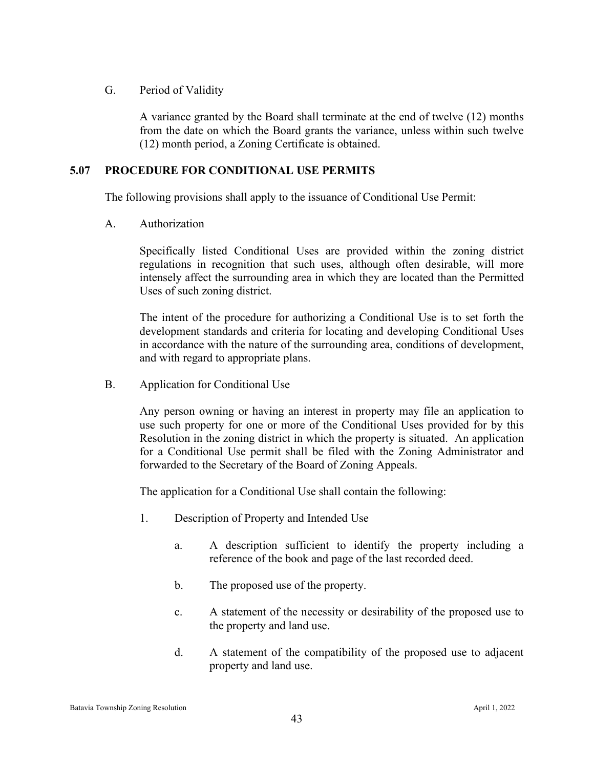## G. Period of Validity

A variance granted by the Board shall terminate at the end of twelve (12) months from the date on which the Board grants the variance, unless within such twelve (12) month period, a Zoning Certificate is obtained.

## **5.07 PROCEDURE FOR CONDITIONAL USE PERMITS**

The following provisions shall apply to the issuance of Conditional Use Permit:

A. Authorization

Specifically listed Conditional Uses are provided within the zoning district regulations in recognition that such uses, although often desirable, will more intensely affect the surrounding area in which they are located than the Permitted Uses of such zoning district.

The intent of the procedure for authorizing a Conditional Use is to set forth the development standards and criteria for locating and developing Conditional Uses in accordance with the nature of the surrounding area, conditions of development, and with regard to appropriate plans.

B. Application for Conditional Use

Any person owning or having an interest in property may file an application to use such property for one or more of the Conditional Uses provided for by this Resolution in the zoning district in which the property is situated. An application for a Conditional Use permit shall be filed with the Zoning Administrator and forwarded to the Secretary of the Board of Zoning Appeals.

The application for a Conditional Use shall contain the following:

- 1. Description of Property and Intended Use
	- a. A description sufficient to identify the property including a reference of the book and page of the last recorded deed.
	- b. The proposed use of the property.
	- c. A statement of the necessity or desirability of the proposed use to the property and land use.
	- d. A statement of the compatibility of the proposed use to adjacent property and land use.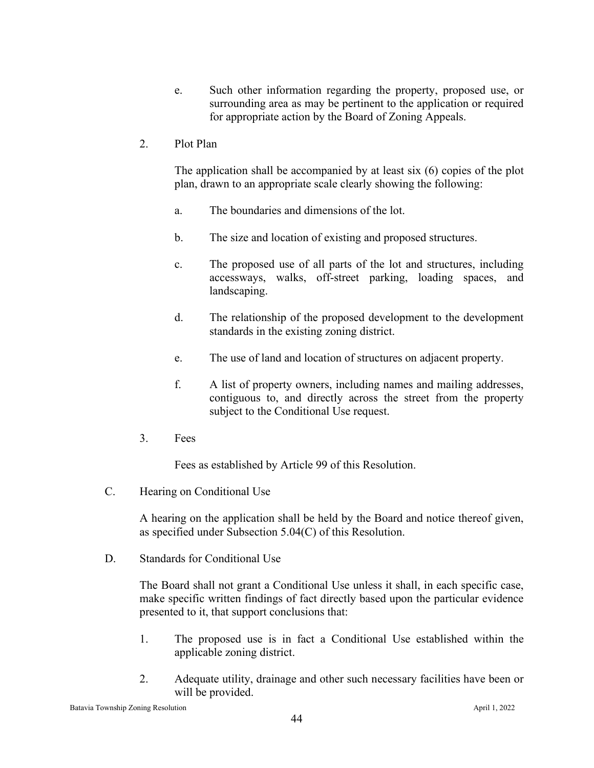- e. Such other information regarding the property, proposed use, or surrounding area as may be pertinent to the application or required for appropriate action by the Board of Zoning Appeals.
- 2. Plot Plan

The application shall be accompanied by at least six (6) copies of the plot plan, drawn to an appropriate scale clearly showing the following:

- a. The boundaries and dimensions of the lot.
- b. The size and location of existing and proposed structures.
- c. The proposed use of all parts of the lot and structures, including accessways, walks, off-street parking, loading spaces, and landscaping.
- d. The relationship of the proposed development to the development standards in the existing zoning district.
- e. The use of land and location of structures on adjacent property.
- f. A list of property owners, including names and mailing addresses, contiguous to, and directly across the street from the property subject to the Conditional Use request.
- 3. Fees

Fees as established by Article 99 of this Resolution.

C. Hearing on Conditional Use

A hearing on the application shall be held by the Board and notice thereof given, as specified under Subsection 5.04(C) of this Resolution.

D. Standards for Conditional Use

The Board shall not grant a Conditional Use unless it shall, in each specific case, make specific written findings of fact directly based upon the particular evidence presented to it, that support conclusions that:

- 1. The proposed use is in fact a Conditional Use established within the applicable zoning district.
- 2. Adequate utility, drainage and other such necessary facilities have been or will be provided.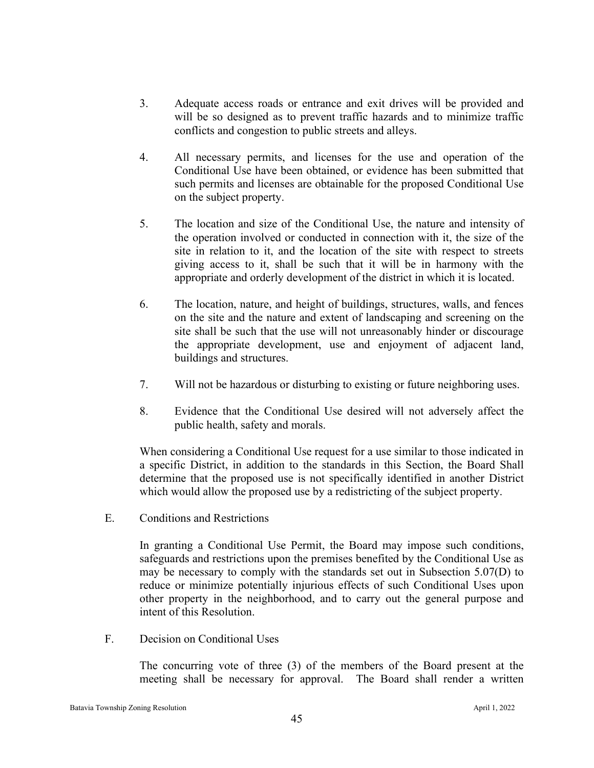- 3. Adequate access roads or entrance and exit drives will be provided and will be so designed as to prevent traffic hazards and to minimize traffic conflicts and congestion to public streets and alleys.
- 4. All necessary permits, and licenses for the use and operation of the Conditional Use have been obtained, or evidence has been submitted that such permits and licenses are obtainable for the proposed Conditional Use on the subject property.
- 5. The location and size of the Conditional Use, the nature and intensity of the operation involved or conducted in connection with it, the size of the site in relation to it, and the location of the site with respect to streets giving access to it, shall be such that it will be in harmony with the appropriate and orderly development of the district in which it is located.
- 6. The location, nature, and height of buildings, structures, walls, and fences on the site and the nature and extent of landscaping and screening on the site shall be such that the use will not unreasonably hinder or discourage the appropriate development, use and enjoyment of adjacent land, buildings and structures.
- 7. Will not be hazardous or disturbing to existing or future neighboring uses.
- 8. Evidence that the Conditional Use desired will not adversely affect the public health, safety and morals.

When considering a Conditional Use request for a use similar to those indicated in a specific District, in addition to the standards in this Section, the Board Shall determine that the proposed use is not specifically identified in another District which would allow the proposed use by a redistricting of the subject property.

E. Conditions and Restrictions

In granting a Conditional Use Permit, the Board may impose such conditions, safeguards and restrictions upon the premises benefited by the Conditional Use as may be necessary to comply with the standards set out in Subsection 5.07(D) to reduce or minimize potentially injurious effects of such Conditional Uses upon other property in the neighborhood, and to carry out the general purpose and intent of this Resolution.

F. Decision on Conditional Uses

The concurring vote of three (3) of the members of the Board present at the meeting shall be necessary for approval. The Board shall render a written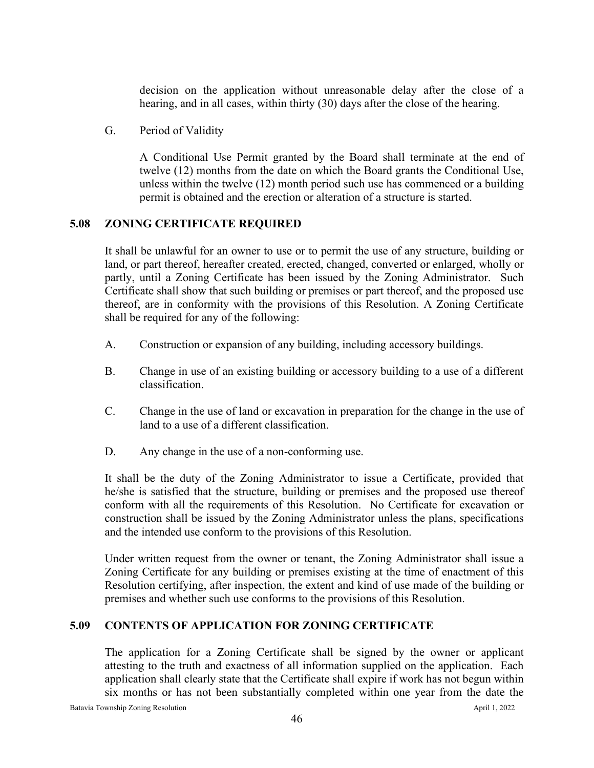decision on the application without unreasonable delay after the close of a hearing, and in all cases, within thirty (30) days after the close of the hearing.

G. Period of Validity

A Conditional Use Permit granted by the Board shall terminate at the end of twelve (12) months from the date on which the Board grants the Conditional Use, unless within the twelve (12) month period such use has commenced or a building permit is obtained and the erection or alteration of a structure is started.

# **5.08 ZONING CERTIFICATE REQUIRED**

It shall be unlawful for an owner to use or to permit the use of any structure, building or land, or part thereof, hereafter created, erected, changed, converted or enlarged, wholly or partly, until a Zoning Certificate has been issued by the Zoning Administrator. Such Certificate shall show that such building or premises or part thereof, and the proposed use thereof, are in conformity with the provisions of this Resolution. A Zoning Certificate shall be required for any of the following:

- A. Construction or expansion of any building, including accessory buildings.
- B. Change in use of an existing building or accessory building to a use of a different classification.
- C. Change in the use of land or excavation in preparation for the change in the use of land to a use of a different classification.
- D. Any change in the use of a non-conforming use.

It shall be the duty of the Zoning Administrator to issue a Certificate, provided that he/she is satisfied that the structure, building or premises and the proposed use thereof conform with all the requirements of this Resolution. No Certificate for excavation or construction shall be issued by the Zoning Administrator unless the plans, specifications and the intended use conform to the provisions of this Resolution.

Under written request from the owner or tenant, the Zoning Administrator shall issue a Zoning Certificate for any building or premises existing at the time of enactment of this Resolution certifying, after inspection, the extent and kind of use made of the building or premises and whether such use conforms to the provisions of this Resolution.

# **5.09 CONTENTS OF APPLICATION FOR ZONING CERTIFICATE**

The application for a Zoning Certificate shall be signed by the owner or applicant attesting to the truth and exactness of all information supplied on the application. Each application shall clearly state that the Certificate shall expire if work has not begun within six months or has not been substantially completed within one year from the date the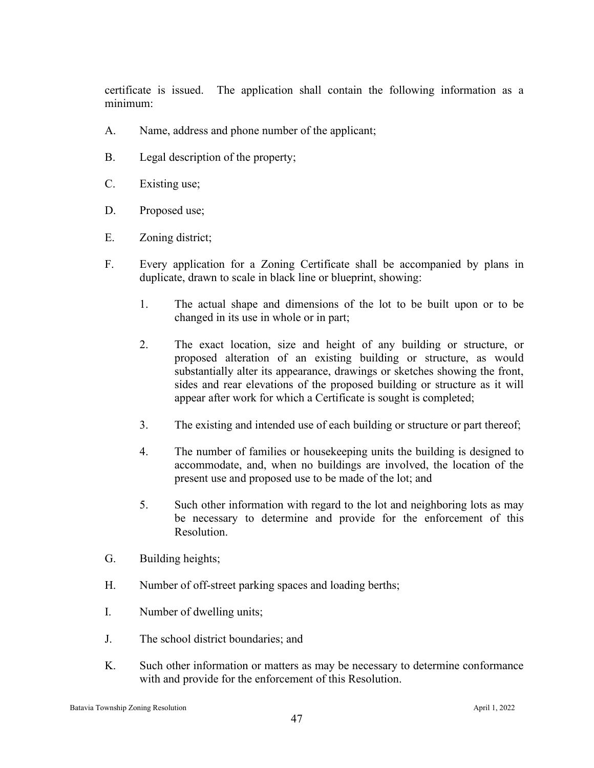certificate is issued. The application shall contain the following information as a minimum:

- A. Name, address and phone number of the applicant;
- B. Legal description of the property;
- C. Existing use;
- D. Proposed use;
- E. Zoning district;
- F. Every application for a Zoning Certificate shall be accompanied by plans in duplicate, drawn to scale in black line or blueprint, showing:
	- 1. The actual shape and dimensions of the lot to be built upon or to be changed in its use in whole or in part;
	- 2. The exact location, size and height of any building or structure, or proposed alteration of an existing building or structure, as would substantially alter its appearance, drawings or sketches showing the front, sides and rear elevations of the proposed building or structure as it will appear after work for which a Certificate is sought is completed;
	- 3. The existing and intended use of each building or structure or part thereof;
	- 4. The number of families or housekeeping units the building is designed to accommodate, and, when no buildings are involved, the location of the present use and proposed use to be made of the lot; and
	- 5. Such other information with regard to the lot and neighboring lots as may be necessary to determine and provide for the enforcement of this Resolution.
- G. Building heights;
- H. Number of off-street parking spaces and loading berths;
- I. Number of dwelling units;
- J. The school district boundaries; and
- K. Such other information or matters as may be necessary to determine conformance with and provide for the enforcement of this Resolution.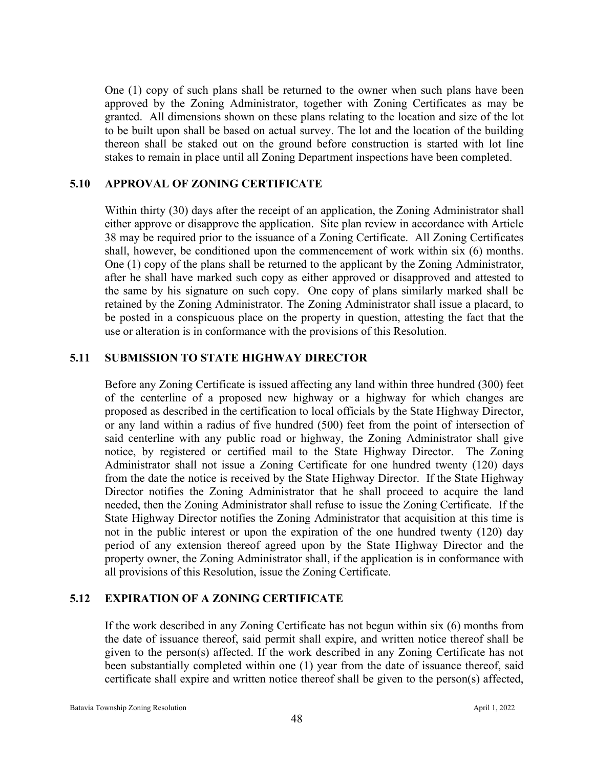One (1) copy of such plans shall be returned to the owner when such plans have been approved by the Zoning Administrator, together with Zoning Certificates as may be granted. All dimensions shown on these plans relating to the location and size of the lot to be built upon shall be based on actual survey. The lot and the location of the building thereon shall be staked out on the ground before construction is started with lot line stakes to remain in place until all Zoning Department inspections have been completed.

## **5.10 APPROVAL OF ZONING CERTIFICATE**

Within thirty (30) days after the receipt of an application, the Zoning Administrator shall either approve or disapprove the application. Site plan review in accordance with Article 38 may be required prior to the issuance of a Zoning Certificate. All Zoning Certificates shall, however, be conditioned upon the commencement of work within six (6) months. One (1) copy of the plans shall be returned to the applicant by the Zoning Administrator, after he shall have marked such copy as either approved or disapproved and attested to the same by his signature on such copy. One copy of plans similarly marked shall be retained by the Zoning Administrator. The Zoning Administrator shall issue a placard, to be posted in a conspicuous place on the property in question, attesting the fact that the use or alteration is in conformance with the provisions of this Resolution.

## **5.11 SUBMISSION TO STATE HIGHWAY DIRECTOR**

Before any Zoning Certificate is issued affecting any land within three hundred (300) feet of the centerline of a proposed new highway or a highway for which changes are proposed as described in the certification to local officials by the State Highway Director, or any land within a radius of five hundred (500) feet from the point of intersection of said centerline with any public road or highway, the Zoning Administrator shall give notice, by registered or certified mail to the State Highway Director. The Zoning Administrator shall not issue a Zoning Certificate for one hundred twenty (120) days from the date the notice is received by the State Highway Director. If the State Highway Director notifies the Zoning Administrator that he shall proceed to acquire the land needed, then the Zoning Administrator shall refuse to issue the Zoning Certificate. If the State Highway Director notifies the Zoning Administrator that acquisition at this time is not in the public interest or upon the expiration of the one hundred twenty (120) day period of any extension thereof agreed upon by the State Highway Director and the property owner, the Zoning Administrator shall, if the application is in conformance with all provisions of this Resolution, issue the Zoning Certificate.

## **5.12 EXPIRATION OF A ZONING CERTIFICATE**

If the work described in any Zoning Certificate has not begun within six (6) months from the date of issuance thereof, said permit shall expire, and written notice thereof shall be given to the person(s) affected. If the work described in any Zoning Certificate has not been substantially completed within one (1) year from the date of issuance thereof, said certificate shall expire and written notice thereof shall be given to the person(s) affected,